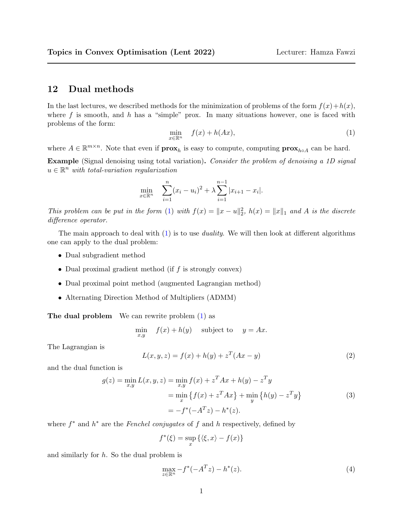## 12 Dual methods

In the last lectures, we described methods for the minimization of problems of the form  $f(x)+h(x)$ , where f is smooth, and h has a "simple" prox. In many situations however, one is faced with problems of the form:

<span id="page-0-0"></span>
$$
\min_{x \in \mathbb{R}^n} \quad f(x) + h(Ax),\tag{1}
$$

where  $A \in \mathbb{R}^{m \times n}$ . Note that even if  $\mathbf{prox}_{h}$  is easy to compute, computing  $\mathbf{prox}_{h \circ A}$  can be hard.

Example (Signal denoising using total variation). Consider the problem of denoising a 1D signal  $u \in \mathbb{R}^n$  with total-variation regularization

$$
\min_{x \in \mathbb{R}^n} \quad \sum_{i=1}^n (x_i - u_i)^2 + \lambda \sum_{i=1}^{n-1} |x_{i+1} - x_i|.
$$

This problem can be put in the form [\(1\)](#page-0-0) with  $f(x) = ||x - u||_2^2$ ,  $h(x) = ||x||_1$  and A is the discrete difference operator.

The main approach to deal with  $(1)$  is to use *duality*. We will then look at different algorithms one can apply to the dual problem:

- Dual subgradient method
- Dual proximal gradient method (if  $f$  is strongly convex)
- Dual proximal point method (augmented Lagrangian method)
- Alternating Direction Method of Multipliers (ADMM)

The dual problem We can rewrite problem  $(1)$  as

$$
\min_{x,y} \quad f(x) + h(y) \quad \text{subject to} \quad y = Ax.
$$

The Lagrangian is

$$
L(x, y, z) = f(x) + h(y) + z^{T}(Ax - y)
$$
\n(2)

and the dual function is

$$
g(z) = \min_{x,y} L(x, y, z) = \min_{x,y} f(x) + z^T A x + h(y) - z^T y
$$
  
= 
$$
\min_{x} \{ f(x) + z^T A x \} + \min_{y} \{ h(y) - z^T y \}
$$
  
= 
$$
-f^*(-A^T z) - h^*(z).
$$
 (3)

where  $f^*$  and  $h^*$  are the *Fenchel conjugates* of  $f$  and  $h$  respectively, defined by

$$
f^*(\xi) = \sup_x \left\{ \langle \xi, x \rangle - f(x) \right\}
$$

and similarly for  $h$ . So the dual problem is

$$
\max_{z \in \mathbb{R}^n} -f^*(-A^T z) - h^*(z). \tag{4}
$$